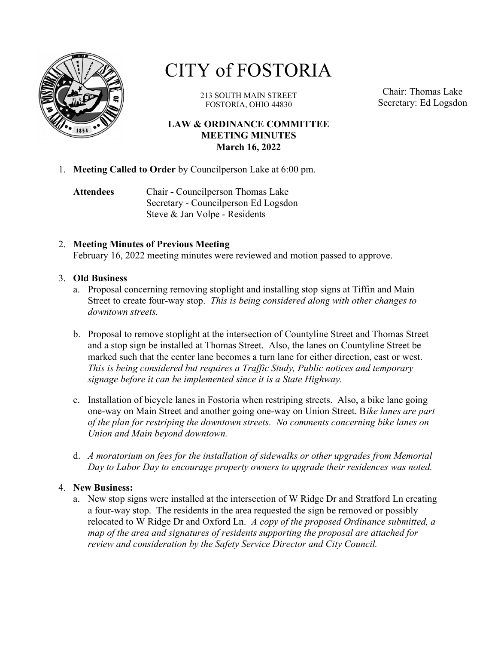

# CITY of FOSTORIA

213 SOUTH MAIN STREET FOSTORIA, OHIO 44830

Chair: Thomas Lake Secretary: Ed Logsdon

## LAW & ORDINANCE COMMITTEE MEETING MINUTES March 16, 2022

- 1. Meeting Called to Order by Councilperson Lake at 6:00 pm.
	- Attendees Chair Councilperson Thomas Lake Secretary - Councilperson Ed Logsdon Steve & Jan Volpe - Residents

## 2. Meeting Minutes of Previous Meeting

February 16, 2022 meeting minutes were reviewed and motion passed to approve.

#### 3. Old Business

- a. Proposal concerning removing stoplight and installing stop signs at Tiffin and Main Street to create four-way stop. This is being considered along with other changes to downtown streets.
- b. Proposal to remove stoplight at the intersection of Countyline Street and Thomas Street and a stop sign be installed at Thomas Street. Also, the lanes on Countyline Street be marked such that the center lane becomes a turn lane for either direction, east or west. This is being considered but requires a Traffic Study, Public notices and temporary signage before it can be implemented since it is a State Highway.
- c. Installation of bicycle lanes in Fostoria when restriping streets. Also, a bike lane going one-way on Main Street and another going one-way on Union Street. Bike lanes are part of the plan for restriping the downtown streets. No comments concerning bike lanes on Union and Main beyond downtown.
- d. A moratorium on fees for the installation of sidewalks or other upgrades from Memorial Day to Labor Day to encourage property owners to upgrade their residences was noted.

### 4. New Business:

a. New stop signs were installed at the intersection of W Ridge Dr and Stratford Ln creating a four-way stop. The residents in the area requested the sign be removed or possibly relocated to W Ridge Dr and Oxford Ln.  $\Lambda$  copy of the proposed Ordinance submitted, a map of the area and signatures of residents supporting the proposal are attached for review and consideration by the Safety Service Director and City Council.